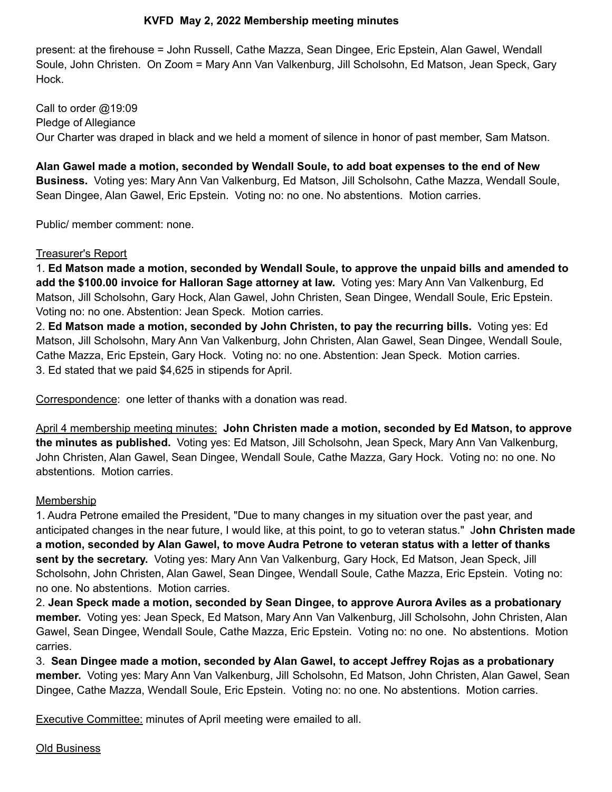## **KVFD May 2, 2022 Membership meeting minutes**

present: at the firehouse = John Russell, Cathe Mazza, Sean Dingee, Eric Epstein, Alan Gawel, Wendall Soule, John Christen. On Zoom = Mary Ann Van Valkenburg, Jill Scholsohn, Ed Matson, Jean Speck, Gary Hock.

Call to order @19:09 Pledge of Allegiance Our Charter was draped in black and we held a moment of silence in honor of past member, Sam Matson.

**Alan Gawel made a motion, seconded by Wendall Soule, to add boat expenses to the end of New Business.** Voting yes: Mary Ann Van Valkenburg, Ed Matson, Jill Scholsohn, Cathe Mazza, Wendall Soule, Sean Dingee, Alan Gawel, Eric Epstein. Voting no: no one. No abstentions. Motion carries.

Public/ member comment: none.

#### Treasurer's Report

1. **Ed Matson made a motion, seconded by Wendall Soule, to approve the unpaid bills and amended to add the \$100.00 invoice for Halloran Sage attorney at law.** Voting yes: Mary Ann Van Valkenburg, Ed Matson, Jill Scholsohn, Gary Hock, Alan Gawel, John Christen, Sean Dingee, Wendall Soule, Eric Epstein. Voting no: no one. Abstention: Jean Speck. Motion carries.

2. **Ed Matson made a motion, seconded by John Christen, to pay the recurring bills.** Voting yes: Ed Matson, Jill Scholsohn, Mary Ann Van Valkenburg, John Christen, Alan Gawel, Sean Dingee, Wendall Soule, Cathe Mazza, Eric Epstein, Gary Hock. Voting no: no one. Abstention: Jean Speck. Motion carries. 3. Ed stated that we paid \$4,625 in stipends for April.

Correspondence: one letter of thanks with a donation was read.

April 4 membership meeting minutes: **John Christen made a motion, seconded by Ed Matson, to approve the minutes as published.** Voting yes: Ed Matson, Jill Scholsohn, Jean Speck, Mary Ann Van Valkenburg, John Christen, Alan Gawel, Sean Dingee, Wendall Soule, Cathe Mazza, Gary Hock. Voting no: no one. No abstentions. Motion carries.

### **Membership**

1. Audra Petrone emailed the President, "Due to many changes in my situation over the past year, and anticipated changes in the near future, I would like, at this point, to go to veteran status." J**ohn Christen made a motion, seconded by Alan Gawel, to move Audra Petrone to veteran status with a letter of thanks sent by the secretary.** Voting yes: Mary Ann Van Valkenburg, Gary Hock, Ed Matson, Jean Speck, Jill Scholsohn, John Christen, Alan Gawel, Sean Dingee, Wendall Soule, Cathe Mazza, Eric Epstein. Voting no: no one. No abstentions. Motion carries.

2. **Jean Speck made a motion, seconded by Sean Dingee, to approve Aurora Aviles as a probationary member.** Voting yes: Jean Speck, Ed Matson, Mary Ann Van Valkenburg, Jill Scholsohn, John Christen, Alan Gawel, Sean Dingee, Wendall Soule, Cathe Mazza, Eric Epstein. Voting no: no one. No abstentions. Motion carries.

3. **Sean Dingee made a motion, seconded by Alan Gawel, to accept Jeffrey Rojas as a probationary member.** Voting yes: Mary Ann Van Valkenburg, Jill Scholsohn, Ed Matson, John Christen, Alan Gawel, Sean Dingee, Cathe Mazza, Wendall Soule, Eric Epstein. Voting no: no one. No abstentions. Motion carries.

**Executive Committee:** minutes of April meeting were emailed to all.

Old Business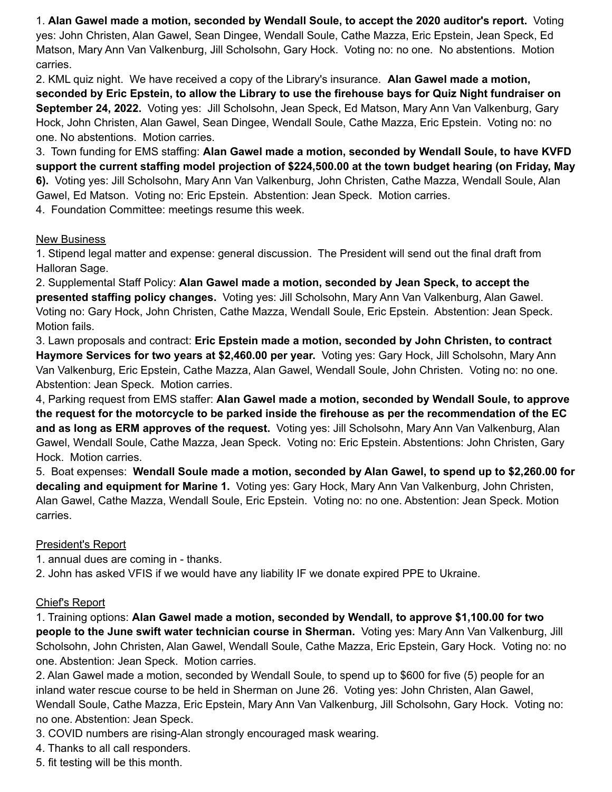1. **Alan Gawel made a motion, seconded by Wendall Soule, to accept the 2020 auditor's report.** Voting yes: John Christen, Alan Gawel, Sean Dingee, Wendall Soule, Cathe Mazza, Eric Epstein, Jean Speck, Ed Matson, Mary Ann Van Valkenburg, Jill Scholsohn, Gary Hock. Voting no: no one. No abstentions. Motion carries.

2. KML quiz night. We have received a copy of the Library's insurance. **Alan Gawel made a motion,** seconded by Eric Epstein, to allow the Library to use the firehouse bays for Quiz Night fundraiser on **September 24, 2022.** Voting yes: Jill Scholsohn, Jean Speck, Ed Matson, Mary Ann Van Valkenburg, Gary Hock, John Christen, Alan Gawel, Sean Dingee, Wendall Soule, Cathe Mazza, Eric Epstein. Voting no: no one. No abstentions. Motion carries.

3. Town funding for EMS staffing: **Alan Gawel made a motion, seconded by Wendall Soule, to have KVFD support the current staffing model projection of \$224,500.00 at the town budget hearing (on Friday, May 6).** Voting yes: Jill Scholsohn, Mary Ann Van Valkenburg, John Christen, Cathe Mazza, Wendall Soule, Alan Gawel, Ed Matson. Voting no: Eric Epstein. Abstention: Jean Speck. Motion carries.

4. Foundation Committee: meetings resume this week.

## New Business

1. Stipend legal matter and expense: general discussion. The President will send out the final draft from Halloran Sage.

2. Supplemental Staff Policy: **Alan Gawel made a motion, seconded by Jean Speck, to accept the presented staffing policy changes.** Voting yes: Jill Scholsohn, Mary Ann Van Valkenburg, Alan Gawel. Voting no: Gary Hock, John Christen, Cathe Mazza, Wendall Soule, Eric Epstein. Abstention: Jean Speck. Motion fails.

3. Lawn proposals and contract: **Eric Epstein made a motion, seconded by John Christen, to contract Haymore Services for two years at \$2,460.00 per year.** Voting yes: Gary Hock, Jill Scholsohn, Mary Ann Van Valkenburg, Eric Epstein, Cathe Mazza, Alan Gawel, Wendall Soule, John Christen. Voting no: no one. Abstention: Jean Speck. Motion carries.

4, Parking request from EMS staffer: **Alan Gawel made a motion, seconded by Wendall Soule, to approve** the request for the motorcycle to be parked inside the firehouse as per the recommendation of the EC **and as long as ERM approves of the request.** Voting yes: Jill Scholsohn, Mary Ann Van Valkenburg, Alan Gawel, Wendall Soule, Cathe Mazza, Jean Speck. Voting no: Eric Epstein. Abstentions: John Christen, Gary Hock. Motion carries.

5. Boat expenses: **Wendall Soule made a motion, seconded by Alan Gawel, to spend up to \$2,260.00 for decaling and equipment for Marine 1.** Voting yes: Gary Hock, Mary Ann Van Valkenburg, John Christen, Alan Gawel, Cathe Mazza, Wendall Soule, Eric Epstein. Voting no: no one. Abstention: Jean Speck. Motion carries.

# President's Report

1. annual dues are coming in - thanks.

2. John has asked VFIS if we would have any liability IF we donate expired PPE to Ukraine.

# Chief's Report

1. Training options: **Alan Gawel made a motion, seconded by Wendall, to approve \$1,100.00 for two people to the June swift water technician course in Sherman.** Voting yes: Mary Ann Van Valkenburg, Jill Scholsohn, John Christen, Alan Gawel, Wendall Soule, Cathe Mazza, Eric Epstein, Gary Hock. Voting no: no one. Abstention: Jean Speck. Motion carries.

2. Alan Gawel made a motion, seconded by Wendall Soule, to spend up to \$600 for five (5) people for an inland water rescue course to be held in Sherman on June 26. Voting yes: John Christen, Alan Gawel, Wendall Soule, Cathe Mazza, Eric Epstein, Mary Ann Van Valkenburg, Jill Scholsohn, Gary Hock. Voting no: no one. Abstention: Jean Speck.

3. COVID numbers are rising-Alan strongly encouraged mask wearing.

4. Thanks to all call responders.

5. fit testing will be this month.